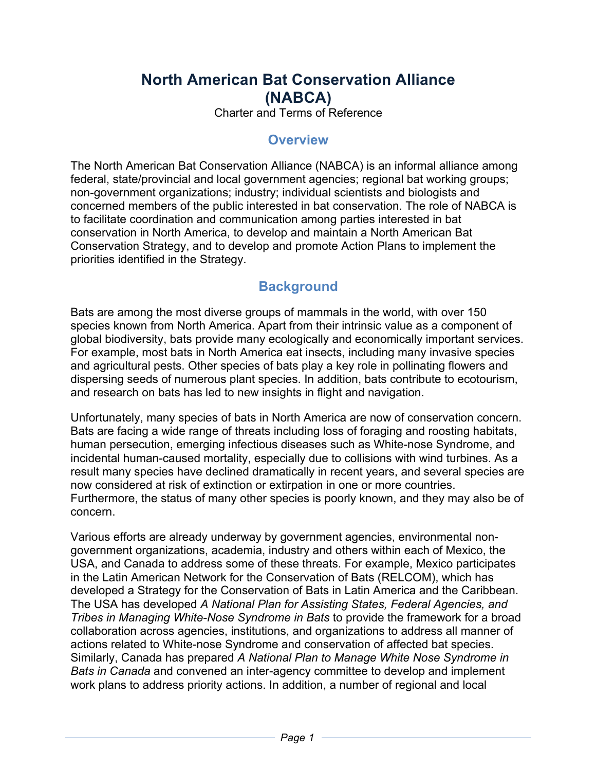# **North American Bat Conservation Alliance (NABCA)**

Charter and Terms of Reference

### **Overview**

The North American Bat Conservation Alliance (NABCA) is an informal alliance among federal, state/provincial and local government agencies; regional bat working groups; non-government organizations; industry; individual scientists and biologists and concerned members of the public interested in bat conservation. The role of NABCA is to facilitate coordination and communication among parties interested in bat conservation in North America, to develop and maintain a North American Bat Conservation Strategy, and to develop and promote Action Plans to implement the priorities identified in the Strategy.

## **Background**

Bats are among the most diverse groups of mammals in the world, with over 150 species known from North America. Apart from their intrinsic value as a component of global biodiversity, bats provide many ecologically and economically important services. For example, most bats in North America eat insects, including many invasive species and agricultural pests. Other species of bats play a key role in pollinating flowers and dispersing seeds of numerous plant species. In addition, bats contribute to ecotourism, and research on bats has led to new insights in flight and navigation.

Unfortunately, many species of bats in North America are now of conservation concern. Bats are facing a wide range of threats including loss of foraging and roosting habitats, human persecution, emerging infectious diseases such as White-nose Syndrome, and incidental human-caused mortality, especially due to collisions with wind turbines. As a result many species have declined dramatically in recent years, and several species are now considered at risk of extinction or extirpation in one or more countries. Furthermore, the status of many other species is poorly known, and they may also be of concern.

Various efforts are already underway by government agencies, environmental nongovernment organizations, academia, industry and others within each of Mexico, the USA, and Canada to address some of these threats. For example, Mexico participates in the Latin American Network for the Conservation of Bats (RELCOM), which has developed a Strategy for the Conservation of Bats in Latin America and the Caribbean. The USA has developed *A National Plan for Assisting States, Federal Agencies, and Tribes in Managing White-Nose Syndrome in Bats* to provide the framework for a broad collaboration across agencies, institutions, and organizations to address all manner of actions related to White-nose Syndrome and conservation of affected bat species. Similarly, Canada has prepared *A National Plan to Manage White Nose Syndrome in Bats in Canada* and convened an inter-agency committee to develop and implement work plans to address priority actions. In addition, a number of regional and local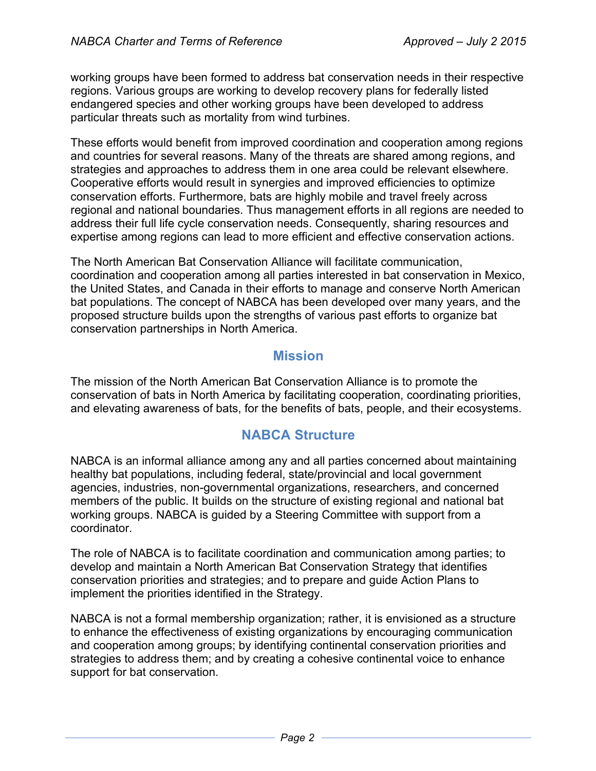working groups have been formed to address bat conservation needs in their respective regions. Various groups are working to develop recovery plans for federally listed endangered species and other working groups have been developed to address particular threats such as mortality from wind turbines.

These efforts would benefit from improved coordination and cooperation among regions and countries for several reasons. Many of the threats are shared among regions, and strategies and approaches to address them in one area could be relevant elsewhere. Cooperative efforts would result in synergies and improved efficiencies to optimize conservation efforts. Furthermore, bats are highly mobile and travel freely across regional and national boundaries. Thus management efforts in all regions are needed to address their full life cycle conservation needs. Consequently, sharing resources and expertise among regions can lead to more efficient and effective conservation actions.

The North American Bat Conservation Alliance will facilitate communication, coordination and cooperation among all parties interested in bat conservation in Mexico, the United States, and Canada in their efforts to manage and conserve North American bat populations. The concept of NABCA has been developed over many years, and the proposed structure builds upon the strengths of various past efforts to organize bat conservation partnerships in North America.

#### **Mission**

The mission of the North American Bat Conservation Alliance is to promote the conservation of bats in North America by facilitating cooperation, coordinating priorities, and elevating awareness of bats, for the benefits of bats, people, and their ecosystems.

### **NABCA Structure**

NABCA is an informal alliance among any and all parties concerned about maintaining healthy bat populations, including federal, state/provincial and local government agencies, industries, non-governmental organizations, researchers, and concerned members of the public. It builds on the structure of existing regional and national bat working groups. NABCA is guided by a Steering Committee with support from a coordinator.

The role of NABCA is to facilitate coordination and communication among parties; to develop and maintain a North American Bat Conservation Strategy that identifies conservation priorities and strategies; and to prepare and guide Action Plans to implement the priorities identified in the Strategy.

NABCA is not a formal membership organization; rather, it is envisioned as a structure to enhance the effectiveness of existing organizations by encouraging communication and cooperation among groups; by identifying continental conservation priorities and strategies to address them; and by creating a cohesive continental voice to enhance support for bat conservation.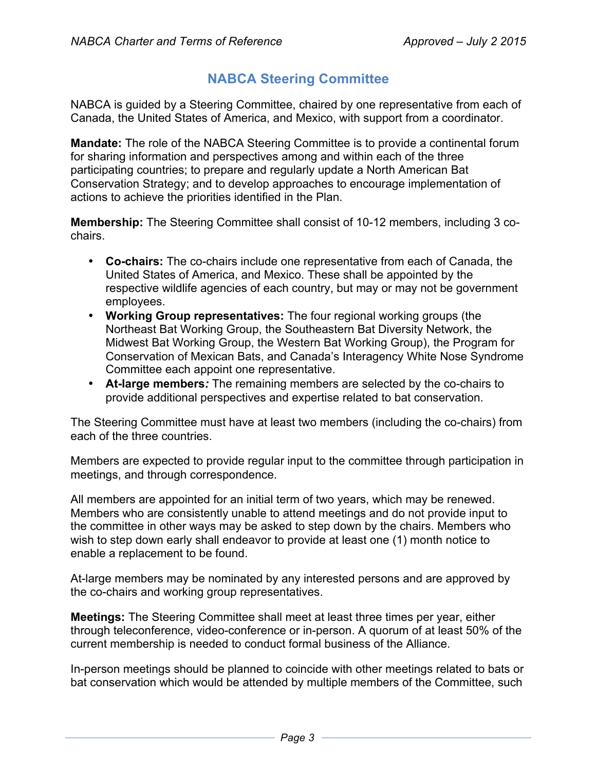### **NABCA Steering Committee**

NABCA is guided by a Steering Committee, chaired by one representative from each of Canada, the United States of America, and Mexico, with support from a coordinator.

**Mandate:** The role of the NABCA Steering Committee is to provide a continental forum for sharing information and perspectives among and within each of the three participating countries; to prepare and regularly update a North American Bat Conservation Strategy; and to develop approaches to encourage implementation of actions to achieve the priorities identified in the Plan.

**Membership:** The Steering Committee shall consist of 10-12 members, including 3 cochairs.

- **Co-chairs:** The co-chairs include one representative from each of Canada, the United States of America, and Mexico. These shall be appointed by the respective wildlife agencies of each country, but may or may not be government employees.
- **Working Group representatives:** The four regional working groups (the Northeast Bat Working Group, the Southeastern Bat Diversity Network, the Midwest Bat Working Group, the Western Bat Working Group), the Program for Conservation of Mexican Bats, and Canada's Interagency White Nose Syndrome Committee each appoint one representative.
- **At-large members***:* The remaining members are selected by the co-chairs to provide additional perspectives and expertise related to bat conservation.

The Steering Committee must have at least two members (including the co-chairs) from each of the three countries.

Members are expected to provide regular input to the committee through participation in meetings, and through correspondence.

All members are appointed for an initial term of two years, which may be renewed. Members who are consistently unable to attend meetings and do not provide input to the committee in other ways may be asked to step down by the chairs. Members who wish to step down early shall endeavor to provide at least one (1) month notice to enable a replacement to be found.

At-large members may be nominated by any interested persons and are approved by the co-chairs and working group representatives.

**Meetings:** The Steering Committee shall meet at least three times per year, either through teleconference, video-conference or in-person. A quorum of at least 50% of the current membership is needed to conduct formal business of the Alliance.

In-person meetings should be planned to coincide with other meetings related to bats or bat conservation which would be attended by multiple members of the Committee, such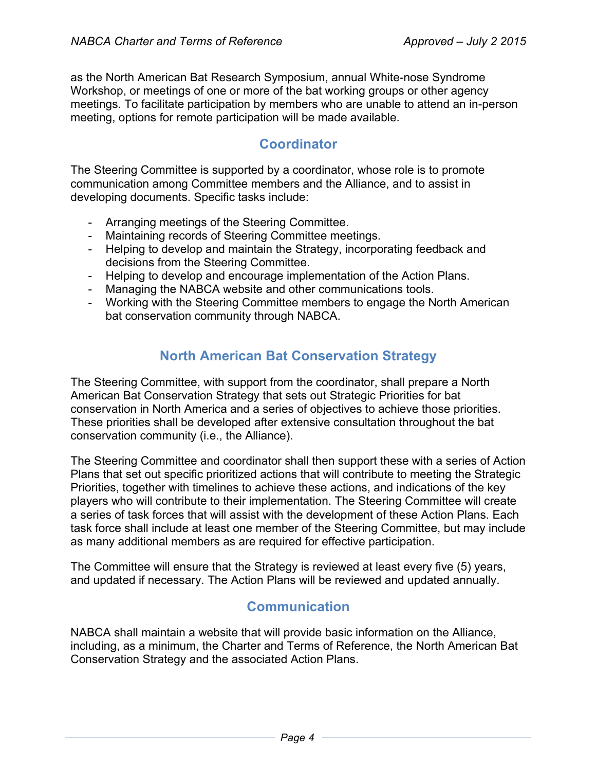as the North American Bat Research Symposium, annual White-nose Syndrome Workshop, or meetings of one or more of the bat working groups or other agency meetings. To facilitate participation by members who are unable to attend an in-person meeting, options for remote participation will be made available.

### **Coordinator**

The Steering Committee is supported by a coordinator, whose role is to promote communication among Committee members and the Alliance, and to assist in developing documents. Specific tasks include:

- Arranging meetings of the Steering Committee.
- Maintaining records of Steering Committee meetings.
- Helping to develop and maintain the Strategy, incorporating feedback and decisions from the Steering Committee.
- Helping to develop and encourage implementation of the Action Plans.
- Managing the NABCA website and other communications tools.
- Working with the Steering Committee members to engage the North American bat conservation community through NABCA.

## **North American Bat Conservation Strategy**

The Steering Committee, with support from the coordinator, shall prepare a North American Bat Conservation Strategy that sets out Strategic Priorities for bat conservation in North America and a series of objectives to achieve those priorities. These priorities shall be developed after extensive consultation throughout the bat conservation community (i.e., the Alliance).

The Steering Committee and coordinator shall then support these with a series of Action Plans that set out specific prioritized actions that will contribute to meeting the Strategic Priorities, together with timelines to achieve these actions, and indications of the key players who will contribute to their implementation. The Steering Committee will create a series of task forces that will assist with the development of these Action Plans. Each task force shall include at least one member of the Steering Committee, but may include as many additional members as are required for effective participation.

The Committee will ensure that the Strategy is reviewed at least every five (5) years, and updated if necessary. The Action Plans will be reviewed and updated annually.

## **Communication**

NABCA shall maintain a website that will provide basic information on the Alliance, including, as a minimum, the Charter and Terms of Reference, the North American Bat Conservation Strategy and the associated Action Plans.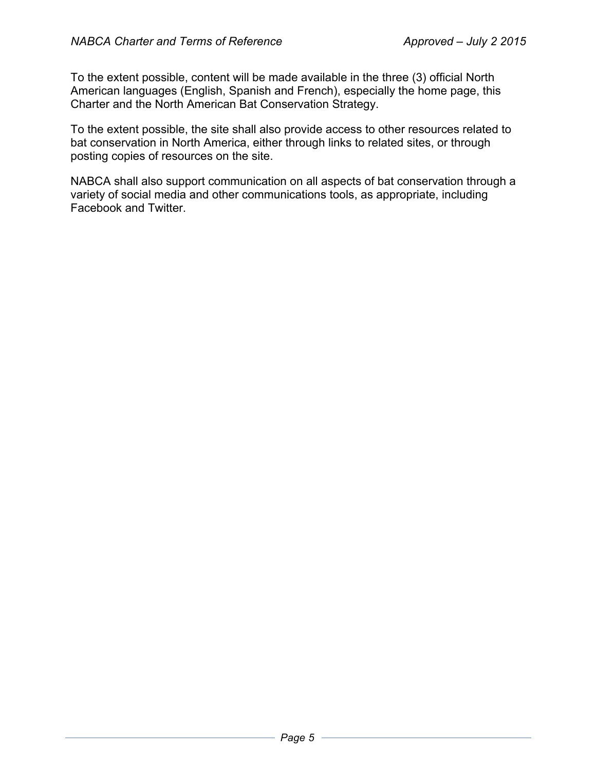To the extent possible, content will be made available in the three (3) official North American languages (English, Spanish and French), especially the home page, this Charter and the North American Bat Conservation Strategy.

To the extent possible, the site shall also provide access to other resources related to bat conservation in North America, either through links to related sites, or through posting copies of resources on the site.

NABCA shall also support communication on all aspects of bat conservation through a variety of social media and other communications tools, as appropriate, including Facebook and Twitter.